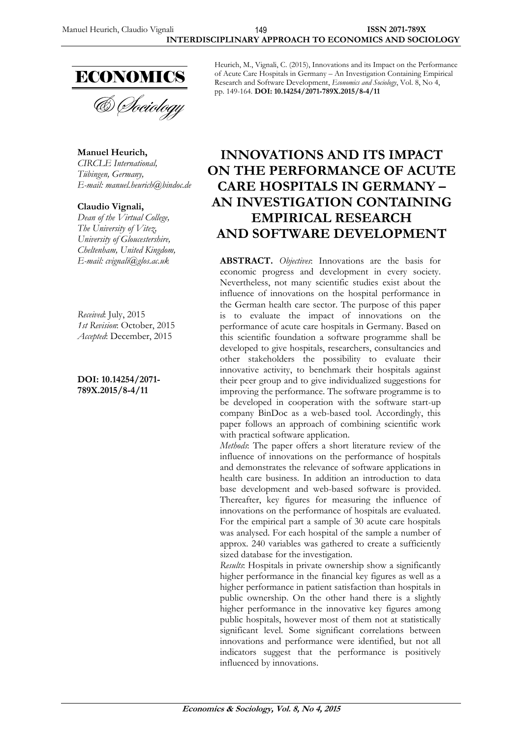

& Sociology

**Manuel Heurich,** *CIRCLE International, Tübingen, Germany, E-mail: manuel.heurich@bindoc.de*

#### **Claudio Vignali,**

*Dean of the Virtual College, The University of Vitez, University of Gloucestershire, Cheltenham, United Kingdom,*

*Received*: July, 2015 *1st Revision*: October, 2015 *Accepted*: December, 2015

**DOI: 10.14254/2071- 789X.2015/8-4/11**

Heurich, M., Vignali, C. (2015), Innovations and its Impact on the Performance of Acute Care Hospitals in Germany – An Investigation Containing Empirical Research and Software Development, *Economics and Sociology*, Vol. 8, No 4, pp. 149-164. **DOI: 10.14254/2071-789X.2015/8-4/11**

# **INNOVATIONS AND ITS IMPACT ON THE PERFORMANCE OF ACUTE CARE HOSPITALS IN GERMANY – AN INVESTIGATION CONTAINING EMPIRICAL RESEARCH AND SOFTWARE DEVELOPMENT**

**ABSTRACT.** *Objectives*: Innovations are the basis for economic progress and development in every society. Nevertheless, not many scientific studies exist about the influence of innovations on the hospital performance in the German health care sector. The purpose of this paper is to evaluate the impact of innovations on the performance of acute care hospitals in Germany. Based on this scientific foundation a software programme shall be developed to give hospitals, researchers, consultancies and other stakeholders the possibility to evaluate their innovative activity, to benchmark their hospitals against their peer group and to give individualized suggestions for improving the performance. The software programme is to be developed in cooperation with the software start-up company BinDoc as a web-based tool. Accordingly, this paper follows an approach of combining scientific work with practical software application.

*Methods*: The paper offers a short literature review of the influence of innovations on the performance of hospitals and demonstrates the relevance of software applications in health care business. In addition an introduction to data base development and web-based software is provided. Thereafter, key figures for measuring the influence of innovations on the performance of hospitals are evaluated. For the empirical part a sample of 30 acute care hospitals was analysed. For each hospital of the sample a number of approx. 240 variables was gathered to create a sufficiently sized database for the investigation.

*Results*: Hospitals in private ownership show a significantly higher performance in the financial key figures as well as a higher performance in patient satisfaction than hospitals in public ownership. On the other hand there is a slightly higher performance in the innovative key figures among public hospitals, however most of them not at statistically significant level. Some significant correlations between innovations and performance were identified, but not all indicators suggest that the performance is positively influenced by innovations.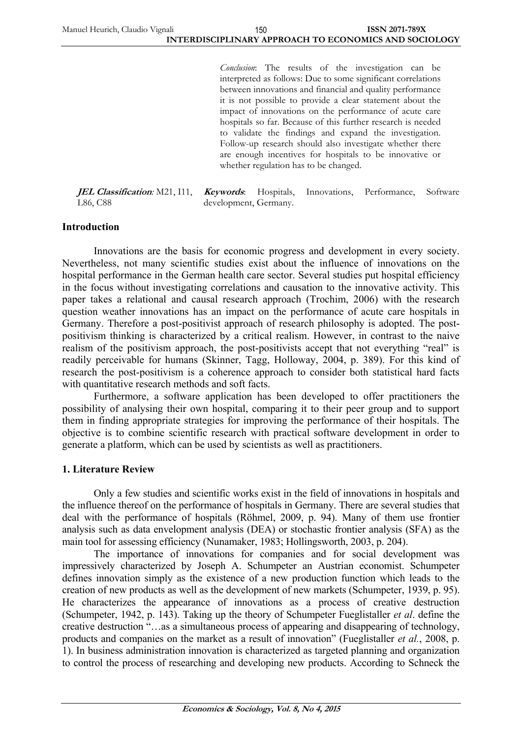*Conclusion*: The results of the investigation can be interpreted as follows: Due to some significant correlations between innovations and financial and quality performance it is not possible to provide a clear statement about the impact of innovations on the performance of acute care hospitals so far. Because of this further research is needed to validate the findings and expand the investigation. Follow-up research should also investigate whether there are enough incentives for hospitals to be innovative or whether regulation has to be changed.

*IEL Classification:* M21, I11, *Keywords.* L86, C88 **Keywords**: Hospitals, Innovations, Performance, Software development, Germany.

#### **Introduction**

Innovations are the basis for economic progress and development in every society. Nevertheless, not many scientific studies exist about the influence of innovations on the hospital performance in the German health care sector. Several studies put hospital efficiency in the focus without investigating correlations and causation to the innovative activity. This paper takes a relational and causal research approach (Trochim, 2006) with the research question weather innovations has an impact on the performance of acute care hospitals in Germany. Therefore a post-positivist approach of research philosophy is adopted. The postpositivism thinking is characterized by a critical realism. However, in contrast to the naive realism of the positivism approach, the post-positivists accept that not everything "real" is readily perceivable for humans (Skinner, Tagg, Holloway, 2004, p. 389). For this kind of research the post-positivism is a coherence approach to consider both statistical hard facts with quantitative research methods and soft facts.

Furthermore, a software application has been developed to offer practitioners the possibility of analysing their own hospital, comparing it to their peer group and to support them in finding appropriate strategies for improving the performance of their hospitals. The objective is to combine scientific research with practical software development in order to generate a platform, which can be used by scientists as well as practitioners.

#### **1. Literature Review**

Only a few studies and scientific works exist in the field of innovations in hospitals and the influence thereof on the performance of hospitals in Germany. There are several studies that deal with the performance of hospitals (Röhmel, 2009, p. 94). Many of them use frontier analysis such as data envelopment analysis (DEA) or stochastic frontier analysis (SFA) as the main tool for assessing efficiency (Nunamaker, 1983; Hollingsworth, 2003, p. 204).

The importance of innovations for companies and for social development was impressively characterized by Joseph A. Schumpeter an Austrian economist. Schumpeter defines innovation simply as the existence of a new production function which leads to the creation of new products as well as the development of new markets (Schumpeter, 1939, p. 95). He characterizes the appearance of innovations as a process of creative destruction (Schumpeter, 1942, p. 143). Taking up the theory of Schumpeter Fueglistaller *et al*. define the creative destruction "…as a simultaneous process of appearing and disappearing of technology, products and companies on the market as a result of innovation" (Fueglistaller *et al.*, 2008, p. 1). In business administration innovation is characterized as targeted planning and organization to control the process of researching and developing new products. According to Schneck the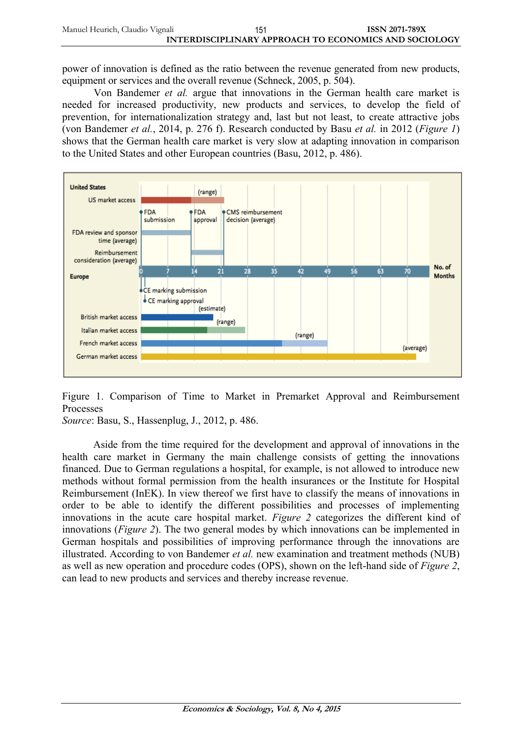power of innovation is defined as the ratio between the revenue generated from new products, equipment or services and the overall revenue (Schneck, 2005, p. 504).

Von Bandemer *et al.* argue that innovations in the German health care market is needed for increased productivity, new products and services, to develop the field of prevention, for internationalization strategy and, last but not least, to create attractive jobs (von Bandemer *et al.*, 2014, p. 276 f). Research conducted by Basu *et al.* in 2012 (*Figure 1*) shows that the German health care market is very slow at adapting innovation in comparison to the United States and other European countries (Basu, 2012, p. 486).



Figure 1. Comparison of Time to Market in Premarket Approval and Reimbursement Processes

*Source*: Basu, S., Hassenplug, J., 2012, p. 486.

Aside from the time required for the development and approval of innovations in the health care market in Germany the main challenge consists of getting the innovations financed. Due to German regulations a hospital, for example, is not allowed to introduce new methods without formal permission from the health insurances or the Institute for Hospital Reimbursement (InEK). In view thereof we first have to classify the means of innovations in order to be able to identify the different possibilities and processes of implementing innovations in the acute care hospital market. *Figure 2* categorizes the different kind of innovations (*Figure 2*). The two general modes by which innovations can be implemented in German hospitals and possibilities of improving performance through the innovations are illustrated. According to von Bandemer *et al.* new examination and treatment methods (NUB) as well as new operation and procedure codes (OPS), shown on the left-hand side of *Figure 2*, can lead to new products and services and thereby increase revenue.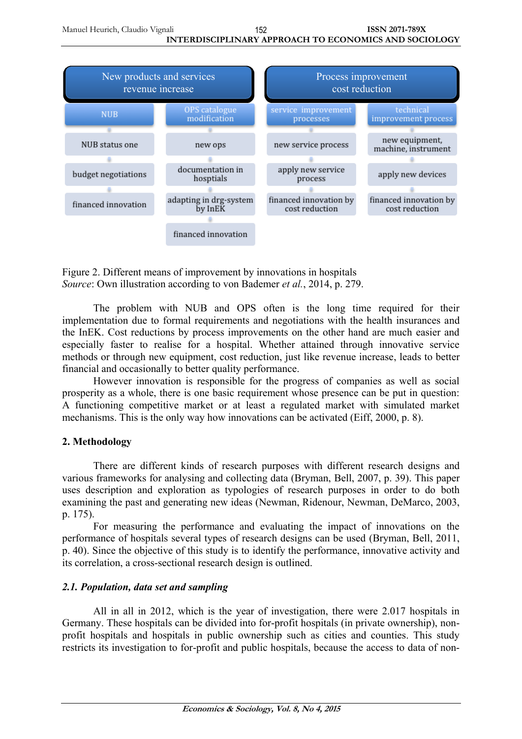

Figure 2. Different means of improvement by innovations in hospitals *Source*: Own illustration according to von Bademer *et al.*, 2014, p. 279.

The problem with NUB and OPS often is the long time required for their implementation due to formal requirements and negotiations with the health insurances and the InEK. Cost reductions by process improvements on the other hand are much easier and especially faster to realise for a hospital. Whether attained through innovative service methods or through new equipment, cost reduction, just like revenue increase, leads to better financial and occasionally to better quality performance.

However innovation is responsible for the progress of companies as well as social prosperity as a whole, there is one basic requirement whose presence can be put in question: A functioning competitive market or at least a regulated market with simulated market mechanisms. This is the only way how innovations can be activated (Eiff, 2000, p. 8).

# **2. Methodology**

There are different kinds of research purposes with different research designs and various frameworks for analysing and collecting data (Bryman, Bell, 2007, p. 39). This paper uses description and exploration as typologies of research purposes in order to do both examining the past and generating new ideas (Newman, Ridenour, Newman, DeMarco, 2003, p. 175).

For measuring the performance and evaluating the impact of innovations on the performance of hospitals several types of research designs can be used (Bryman, Bell, 2011, p. 40). Since the objective of this study is to identify the performance, innovative activity and its correlation, a cross-sectional research design is outlined.

# *2.1. Population, data set and sampling*

All in all in 2012, which is the year of investigation, there were 2.017 hospitals in Germany. These hospitals can be divided into for-profit hospitals (in private ownership), nonprofit hospitals and hospitals in public ownership such as cities and counties. This study restricts its investigation to for-profit and public hospitals, because the access to data of non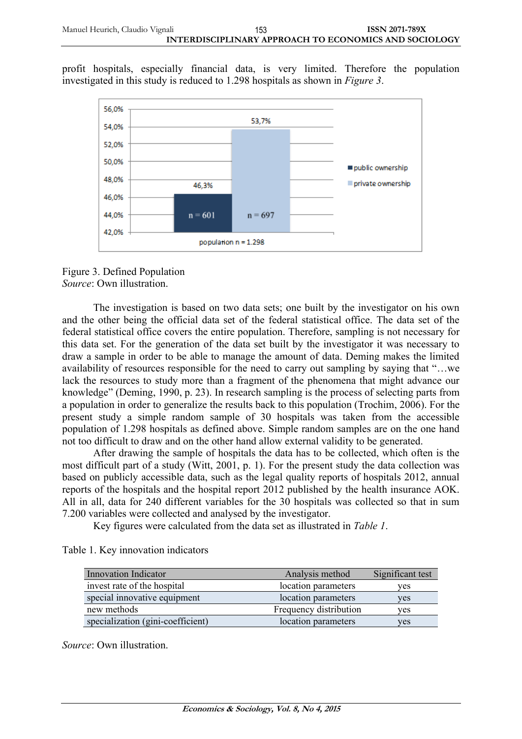profit hospitals, especially financial data, is very limited. Therefore the population investigated in this study is reduced to 1.298 hospitals as shown in *Figure 3*.



Figure 3. Defined Population *Source*: Own illustration.

The investigation is based on two data sets; one built by the investigator on his own and the other being the official data set of the federal statistical office. The data set of the federal statistical office covers the entire population. Therefore, sampling is not necessary for this data set. For the generation of the data set built by the investigator it was necessary to draw a sample in order to be able to manage the amount of data. Deming makes the limited availability of resources responsible for the need to carry out sampling by saying that "…we lack the resources to study more than a fragment of the phenomena that might advance our knowledge" (Deming, 1990, p. 23). In research sampling is the process of selecting parts from a population in order to generalize the results back to this population (Trochim, 2006). For the present study a simple random sample of 30 hospitals was taken from the accessible population of 1.298 hospitals as defined above. Simple random samples are on the one hand not too difficult to draw and on the other hand allow external validity to be generated.

After drawing the sample of hospitals the data has to be collected, which often is the most difficult part of a study (Witt, 2001, p. 1). For the present study the data collection was based on publicly accessible data, such as the legal quality reports of hospitals 2012, annual reports of the hospitals and the hospital report 2012 published by the health insurance AOK. All in all, data for 240 different variables for the 30 hospitals was collected so that in sum 7.200 variables were collected and analysed by the investigator.

Key figures were calculated from the data set as illustrated in *Table 1*.

| <b>Innovation Indicator</b>       | Analysis method        | Significant test |
|-----------------------------------|------------------------|------------------|
| invest rate of the hospital       | location parameters    | ves              |
| special innovative equipment      | location parameters    | ves              |
| new methods                       | Frequency distribution | ves              |
| specialization (gini-coefficient) | location parameters    | yes              |

Table 1. Key innovation indicators

*Source*: Own illustration.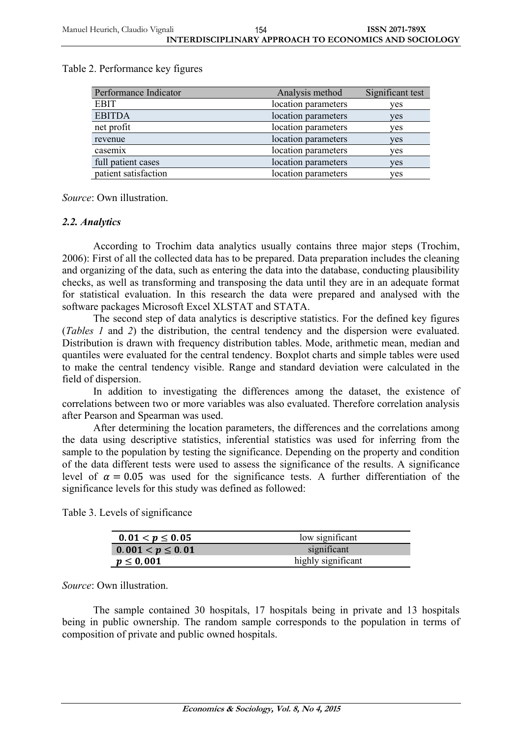| Performance Indicator | Analysis method     | Significant test |
|-----------------------|---------------------|------------------|
| <b>EBIT</b>           | location parameters | yes              |
| <b>EBITDA</b>         | location parameters | yes              |
| net profit            | location parameters | yes              |
| revenue               | location parameters | ves              |
| casemix               | location parameters | ves              |
| full patient cases    | location parameters | ves              |
| patient satisfaction  | location parameters | ves              |

Table 2. Performance key figures

*Source*: Own illustration.

### *2.2. Analytics*

According to Trochim data analytics usually contains three major steps (Trochim, 2006): First of all the collected data has to be prepared. Data preparation includes the cleaning and organizing of the data, such as entering the data into the database, conducting plausibility checks, as well as transforming and transposing the data until they are in an adequate format for statistical evaluation. In this research the data were prepared and analysed with the software packages Microsoft Excel XLSTAT and STATA.

The second step of data analytics is descriptive statistics. For the defined key figures (*Tables 1* and *2*) the distribution, the central tendency and the dispersion were evaluated. Distribution is drawn with frequency distribution tables. Mode, arithmetic mean, median and quantiles were evaluated for the central tendency. Boxplot charts and simple tables were used to make the central tendency visible. Range and standard deviation were calculated in the field of dispersion.

In addition to investigating the differences among the dataset, the existence of correlations between two or more variables was also evaluated. Therefore correlation analysis after Pearson and Spearman was used.

After determining the location parameters, the differences and the correlations among the data using descriptive statistics, inferential statistics was used for inferring from the sample to the population by testing the significance. Depending on the property and condition of the data different tests were used to assess the significance of the results. A significance level of  $\alpha = 0.05$  was used for the significance tests. A further differentiation of the significance levels for this study was defined as followed:

Table 3. Levels of significance

| 0 01 $< p \le 0$ 05   | low significant    |
|-----------------------|--------------------|
| $0.001 < p \leq 0.01$ | significant        |
| $p \leq 0,001$        | highly significant |

*Source*: Own illustration.

The sample contained 30 hospitals, 17 hospitals being in private and 13 hospitals being in public ownership. The random sample corresponds to the population in terms of composition of private and public owned hospitals.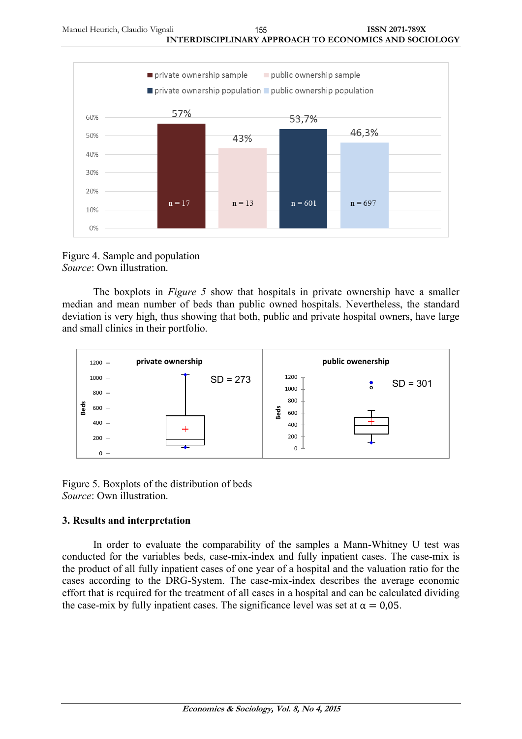

Figure 4. Sample and population *Source*: Own illustration.

The boxplots in *Figure 5* show that hospitals in private ownership have a smaller median and mean number of beds than public owned hospitals. Nevertheless, the standard deviation is very high, thus showing that both, public and private hospital owners, have large and small clinics in their portfolio.



Figure 5. Boxplots of the distribution of beds *Source*: Own illustration.

# **3. Results and interpretation**

In order to evaluate the comparability of the samples a Mann-Whitney U test was conducted for the variables beds, case-mix-index and fully inpatient cases. The case-mix is the product of all fully inpatient cases of one year of a hospital and the valuation ratio for the cases according to the DRG-System. The case-mix-index describes the average economic effort that is required for the treatment of all cases in a hospital and can be calculated dividing the case-mix by fully inpatient cases. The significance level was set at  $\alpha = 0.05$ .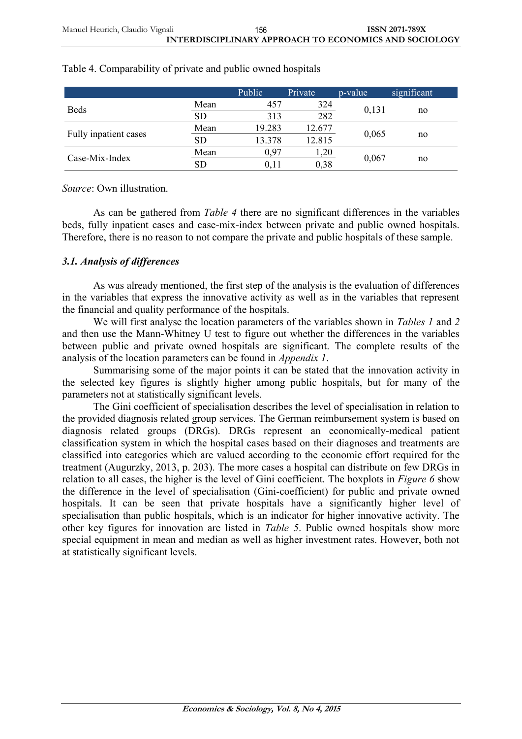|                       |                  | Public | Private | p-value | significant |
|-----------------------|------------------|--------|---------|---------|-------------|
| <b>Beds</b>           | Mean             | 457    | 324     | 0,131   |             |
|                       | <b>SD</b><br>313 | 282    |         | no      |             |
| Fully inpatient cases | Mean             | 19.283 | 12.677  | 0,065   | no          |
|                       | <b>SD</b>        | 13.378 | 12.815  |         |             |
|                       | Mean             | 0.97   | 1,20    | 0,067   |             |
| Case-Mix-Index        | <b>SD</b>        | 0.11   | 0.38    |         | no          |

# Table 4. Comparability of private and public owned hospitals

*Source*: Own illustration.

As can be gathered from *Table 4* there are no significant differences in the variables beds, fully inpatient cases and case-mix-index between private and public owned hospitals. Therefore, there is no reason to not compare the private and public hospitals of these sample.

# *3.1. Analysis of differences*

As was already mentioned, the first step of the analysis is the evaluation of differences in the variables that express the innovative activity as well as in the variables that represent the financial and quality performance of the hospitals.

We will first analyse the location parameters of the variables shown in *Tables 1* and *2* and then use the Mann-Whitney U test to figure out whether the differences in the variables between public and private owned hospitals are significant. The complete results of the analysis of the location parameters can be found in *Appendix 1*.

Summarising some of the major points it can be stated that the innovation activity in the selected key figures is slightly higher among public hospitals, but for many of the parameters not at statistically significant levels.

The Gini coefficient of specialisation describes the level of specialisation in relation to the provided diagnosis related group services. The German reimbursement system is based on diagnosis related groups (DRGs). DRGs represent an economically-medical patient classification system in which the hospital cases based on their diagnoses and treatments are classified into categories which are valued according to the economic effort required for the treatment (Augurzky, 2013, p. 203). The more cases a hospital can distribute on few DRGs in relation to all cases, the higher is the level of Gini coefficient. The boxplots in *Figure 6* show the difference in the level of specialisation (Gini-coefficient) for public and private owned hospitals. It can be seen that private hospitals have a significantly higher level of specialisation than public hospitals, which is an indicator for higher innovative activity. The other key figures for innovation are listed in *Table 5*. Public owned hospitals show more special equipment in mean and median as well as higher investment rates. However, both not at statistically significant levels.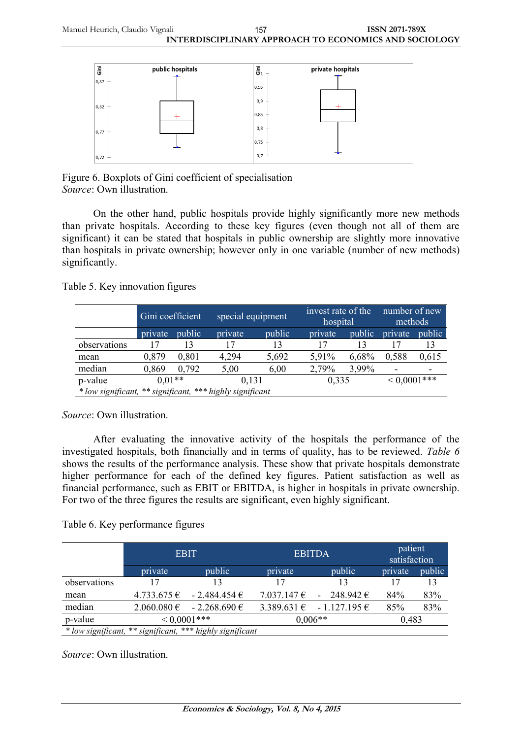

Figure 6. Boxplots of Gini coefficient of specialisation *Source*: Own illustration.

On the other hand, public hospitals provide highly significantly more new methods than private hospitals. According to these key figures (even though not all of them are significant) it can be stated that hospitals in public ownership are slightly more innovative than hospitals in private ownership; however only in one variable (number of new methods) significantly.

Table 5. Key innovation figures

|                                                           | Gini coefficient |        |         | special equipment |         | invest rate of the<br>hospital |                          | number of new<br>methods |  |
|-----------------------------------------------------------|------------------|--------|---------|-------------------|---------|--------------------------------|--------------------------|--------------------------|--|
|                                                           | private          | public | private | public            | private | public                         | private                  | public                   |  |
| observations                                              |                  |        |         | 13                |         | 13                             |                          | 13                       |  |
| mean                                                      | 0,879            | 0,801  | 4,294   | 5,692             | 5.91%   | 6,68%                          | 0,588                    | 0,615                    |  |
| median                                                    | 0,869            | 0.792  | 5,00    | 6.00              | 2,79%   | 3.99%                          | $\overline{\phantom{0}}$ |                          |  |
| p-value                                                   | $0.01**$         |        | 0.131   |                   | 0,335   |                                | $< 0,0001$ ***           |                          |  |
| * low significant, ** significant, *** highly significant |                  |        |         |                   |         |                                |                          |                          |  |

*Source*: Own illustration.

After evaluating the innovative activity of the hospitals the performance of the investigated hospitals, both financially and in terms of quality, has to be reviewed. *Table 6* shows the results of the performance analysis. These show that private hospitals demonstrate higher performance for each of the defined key figures. Patient satisfaction as well as financial performance, such as EBIT or EBITDA, is higher in hospitals in private ownership. For two of the three figures the results are significant, even highly significant.

Table 6. Key performance figures

|              | <b>EBIT</b> |                                                           | <b>EBITDA</b> | patient<br>satisfaction                   |         |        |
|--------------|-------------|-----------------------------------------------------------|---------------|-------------------------------------------|---------|--------|
|              | private     | public                                                    | private       | public                                    | private | public |
| observations | 17          | 13                                                        | 17            | 13                                        |         | 13     |
| mean         |             | $4.733.675 \in$ - 2.484.454 €                             |               | 7.037.147 $\epsilon$ - 248.942 $\epsilon$ | 84%     | 83%    |
| median       |             | $2.060.080 \in -2.268.690 \in$                            |               | $3.389.631 \in$ - 1.127.195 €             | 85%     | 83%    |
| p-value      |             | $< 0.0001$ ***                                            |               | $0.006**$                                 | 0.483   |        |
|              |             | * low significant, ** significant, *** highly significant |               |                                           |         |        |

*Source*: Own illustration.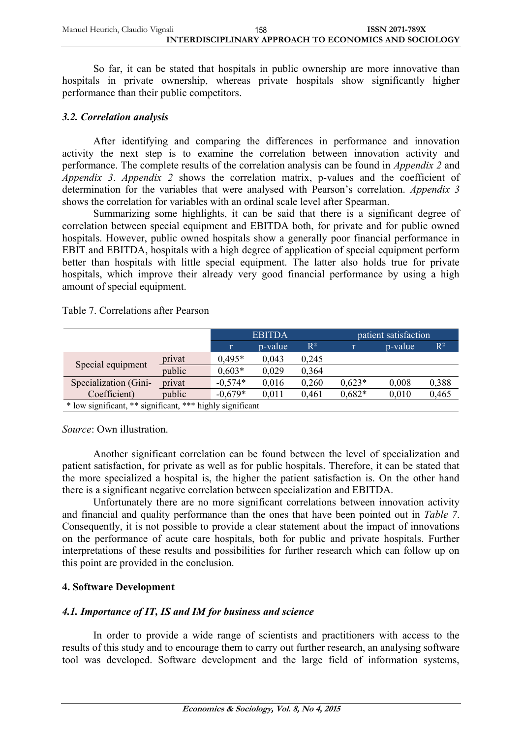| Manuel Heurich, Claudio Vignali | 158 | <b>ISSN 2071-789X</b>                                 |
|---------------------------------|-----|-------------------------------------------------------|
|                                 |     | INTERDISCIPLINARY APPROACH TO ECONOMICS AND SOCIOLOGY |

So far, it can be stated that hospitals in public ownership are more innovative than hospitals in private ownership, whereas private hospitals show significantly higher performance than their public competitors.

#### *3.2. Correlation analysis*

After identifying and comparing the differences in performance and innovation activity the next step is to examine the correlation between innovation activity and performance. The complete results of the correlation analysis can be found in *Appendix 2* and *Appendix 3*. *Appendix 2* shows the correlation matrix, p-values and the coefficient of determination for the variables that were analysed with Pearson's correlation. *Appendix 3* shows the correlation for variables with an ordinal scale level after Spearman.

Summarizing some highlights, it can be said that there is a significant degree of correlation between special equipment and EBITDA both, for private and for public owned hospitals. However, public owned hospitals show a generally poor financial performance in EBIT and EBITDA, hospitals with a high degree of application of special equipment perform better than hospitals with little special equipment. The latter also holds true for private hospitals, which improve their already very good financial performance by using a high amount of special equipment.

Table 7. Correlations after Pearson

|                                                           |        | <b>EBITDA</b> |         | patient satisfaction |          |         |                |
|-----------------------------------------------------------|--------|---------------|---------|----------------------|----------|---------|----------------|
|                                                           |        |               | p-value | $\mathbb{R}^2$       |          | p-value | $\mathbb{R}^2$ |
| Special equipment                                         | privat | $0.495*$      | 0,043   | 0,245                |          |         |                |
|                                                           | public | $0.603*$      | 0,029   | 0,364                |          |         |                |
| Specialization (Gini-                                     | privat | $-0.574*$     | 0,016   | 0,260                | $0,623*$ | 0,008   | 0,388          |
| Coefficient)                                              | public | $-0.679*$     | 0.011   | 0,461                | $0,682*$ | 0,010   | 0,465          |
| * low significant, ** significant, *** highly significant |        |               |         |                      |          |         |                |

*Source*: Own illustration.

Another significant correlation can be found between the level of specialization and patient satisfaction, for private as well as for public hospitals. Therefore, it can be stated that the more specialized a hospital is, the higher the patient satisfaction is. On the other hand there is a significant negative correlation between specialization and EBITDA.

Unfortunately there are no more significant correlations between innovation activity and financial and quality performance than the ones that have been pointed out in *Table 7*. Consequently, it is not possible to provide a clear statement about the impact of innovations on the performance of acute care hospitals, both for public and private hospitals. Further interpretations of these results and possibilities for further research which can follow up on this point are provided in the conclusion.

# **4. Software Development**

# *4.1. Importance of IT, IS and IM for business and science*

In order to provide a wide range of scientists and practitioners with access to the results of this study and to encourage them to carry out further research, an analysing software tool was developed. Software development and the large field of information systems,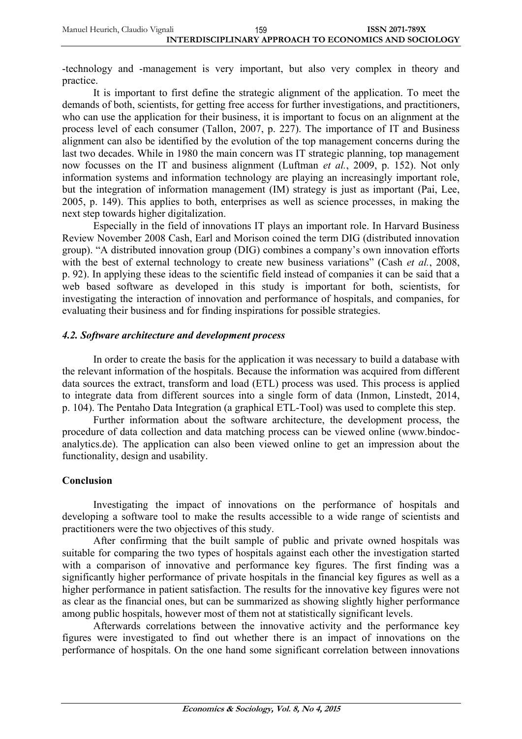| Manuel Heurich, Claudio Vignali | 159 | ISSN 2071-789X                                        |
|---------------------------------|-----|-------------------------------------------------------|
|                                 |     | INTERDISCIPLINARY APPROACH TO ECONOMICS AND SOCIOLOGY |

-technology and -management is very important, but also very complex in theory and practice.

It is important to first define the strategic alignment of the application. To meet the demands of both, scientists, for getting free access for further investigations, and practitioners, who can use the application for their business, it is important to focus on an alignment at the process level of each consumer (Tallon, 2007, p. 227). The importance of IT and Business alignment can also be identified by the evolution of the top management concerns during the last two decades. While in 1980 the main concern was IT strategic planning, top management now focusses on the IT and business alignment (Luftman *et al.*, 2009, p. 152). Not only information systems and information technology are playing an increasingly important role, but the integration of information management (IM) strategy is just as important (Pai, Lee, 2005, p. 149). This applies to both, enterprises as well as science processes, in making the next step towards higher digitalization.

Especially in the field of innovations IT plays an important role. In Harvard Business Review November 2008 Cash, Earl and Morison coined the term DIG (distributed innovation group). "A distributed innovation group (DIG) combines a company's own innovation efforts with the best of external technology to create new business variations" (Cash *et al.*, 2008, p. 92). In applying these ideas to the scientific field instead of companies it can be said that a web based software as developed in this study is important for both, scientists, for investigating the interaction of innovation and performance of hospitals, and companies, for evaluating their business and for finding inspirations for possible strategies.

#### *4.2. Software architecture and development process*

In order to create the basis for the application it was necessary to build a database with the relevant information of the hospitals. Because the information was acquired from different data sources the extract, transform and load (ETL) process was used. This process is applied to integrate data from different sources into a single form of data (Inmon, Linstedt, 2014, p. 104). The Pentaho Data Integration (a graphical ETL-Tool) was used to complete this step.

Further information about the software architecture, the development process, the procedure of data collection and data matching process can be viewed online (www.bindocanalytics.de). The application can also been viewed online to get an impression about the functionality, design and usability.

#### **Conclusion**

Investigating the impact of innovations on the performance of hospitals and developing a software tool to make the results accessible to a wide range of scientists and practitioners were the two objectives of this study.

After confirming that the built sample of public and private owned hospitals was suitable for comparing the two types of hospitals against each other the investigation started with a comparison of innovative and performance key figures. The first finding was a significantly higher performance of private hospitals in the financial key figures as well as a higher performance in patient satisfaction. The results for the innovative key figures were not as clear as the financial ones, but can be summarized as showing slightly higher performance among public hospitals, however most of them not at statistically significant levels.

Afterwards correlations between the innovative activity and the performance key figures were investigated to find out whether there is an impact of innovations on the performance of hospitals. On the one hand some significant correlation between innovations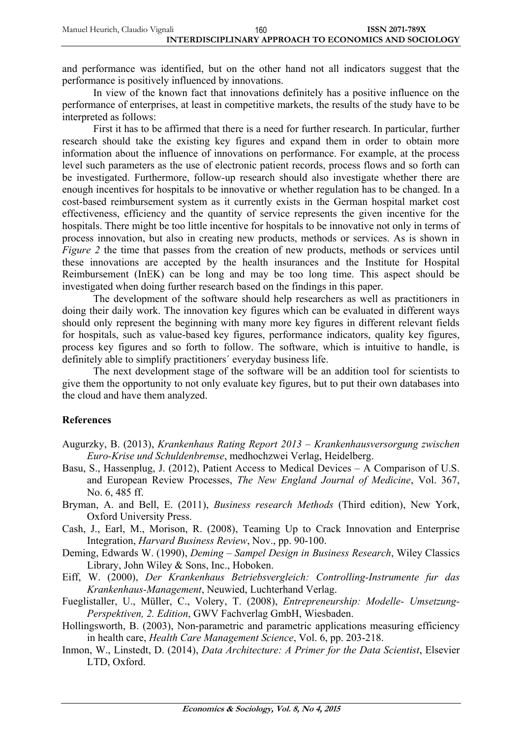| Manuel Heurich, Claudio Vignali | 160 | <b>ISSN 2071-789X</b>                                 |
|---------------------------------|-----|-------------------------------------------------------|
|                                 |     | INTERDISCIPLINARY APPROACH TO ECONOMICS AND SOCIOLOGY |

and performance was identified, but on the other hand not all indicators suggest that the performance is positively influenced by innovations.

In view of the known fact that innovations definitely has a positive influence on the performance of enterprises, at least in competitive markets, the results of the study have to be interpreted as follows:

First it has to be affirmed that there is a need for further research. In particular, further research should take the existing key figures and expand them in order to obtain more information about the influence of innovations on performance. For example, at the process level such parameters as the use of electronic patient records, process flows and so forth can be investigated. Furthermore, follow-up research should also investigate whether there are enough incentives for hospitals to be innovative or whether regulation has to be changed. In a cost-based reimbursement system as it currently exists in the German hospital market cost effectiveness, efficiency and the quantity of service represents the given incentive for the hospitals. There might be too little incentive for hospitals to be innovative not only in terms of process innovation, but also in creating new products, methods or services. As is shown in *Figure 2* the time that passes from the creation of new products, methods or services until these innovations are accepted by the health insurances and the Institute for Hospital Reimbursement (InEK) can be long and may be too long time. This aspect should be investigated when doing further research based on the findings in this paper.

The development of the software should help researchers as well as practitioners in doing their daily work. The innovation key figures which can be evaluated in different ways should only represent the beginning with many more key figures in different relevant fields for hospitals, such as value-based key figures, performance indicators, quality key figures, process key figures and so forth to follow. The software, which is intuitive to handle, is definitely able to simplify practitioners´ everyday business life.

The next development stage of the software will be an addition tool for scientists to give them the opportunity to not only evaluate key figures, but to put their own databases into the cloud and have them analyzed.

#### **References**

- Augurzky, B. (2013), *Krankenhaus Rating Report 2013 – Krankenhausversorgung zwischen Euro-Krise und Schuldenbremse*, medhochzwei Verlag, Heidelberg.
- Basu, S., Hassenplug, J. (2012), Patient Access to Medical Devices A Comparison of U.S. and European Review Processes, *The New England Journal of Medicine*, Vol. 367, No. 6, 485 ff.
- Bryman, A. and Bell, E. (2011), *Business research Methods* (Third edition), New York, Oxford University Press.
- Cash, J., Earl, M., Morison, R. (2008), Teaming Up to Crack Innovation and Enterprise Integration, *Harvard Business Review*, Nov., pp. 90-100.
- Deming, Edwards W. (1990), *Deming – Sampel Design in Business Research*, Wiley Classics Library, John Wiley & Sons, Inc., Hoboken.
- Eiff, W. (2000), *Der Krankenhaus Betriebsvergleich: Controlling-Instrumente fur das Krankenhaus-Management*, Neuwied, Luchterhand Verlag.
- Fueglistaller, U., Müller, C., Volery, T. (2008), *Entrepreneurship: Modelle- Umsetzung-Perspektiven, 2. Edition*, GWV Fachverlag GmbH, Wiesbaden.
- Hollingsworth, B. (2003), Non-parametric and parametric applications measuring efficiency in health care, *Health Care Management Science*, Vol. 6, pp. 203-218.
- Inmon, W., Linstedt, D. (2014), *Data Architecture: A Primer for the Data Scientist*, Elsevier LTD, Oxford.